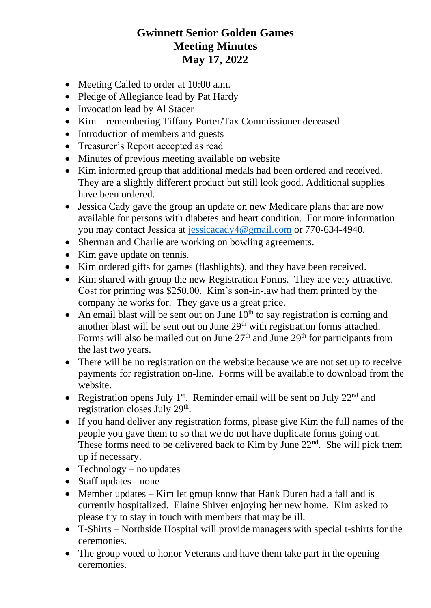## **Gwinnett Senior Golden Games Meeting Minutes May 17, 2022**

- Meeting Called to order at 10:00 a.m.
- Pledge of Allegiance lead by Pat Hardy
- Invocation lead by Al Stacer
- Kim remembering Tiffany Porter/Tax Commissioner deceased
- Introduction of members and guests
- Treasurer's Report accepted as read
- Minutes of previous meeting available on website
- Kim informed group that additional medals had been ordered and received. They are a slightly different product but still look good. Additional supplies have been ordered.
- Jessica Cady gave the group an update on new Medicare plans that are now available for persons with diabetes and heart condition. For more information you may contact Jessica at [jessicacady4@gmail.com](mailto:jessicacady4@gmail.com) or 770-634-4940.
- Sherman and Charlie are working on bowling agreements.
- Kim gave update on tennis.
- Kim ordered gifts for games (flashlights), and they have been received.
- Kim shared with group the new Registration Forms. They are very attractive. Cost for printing was \$250.00. Kim's son-in-law had them printed by the company he works for. They gave us a great price.
- An email blast will be sent out on June  $10<sup>th</sup>$  to say registration is coming and another blast will be sent out on June 29<sup>th</sup> with registration forms attached. Forms will also be mailed out on June  $27<sup>th</sup>$  and June  $29<sup>th</sup>$  for participants from the last two years.
- There will be no registration on the website because we are not set up to receive payments for registration on-line. Forms will be available to download from the website.
- Registration opens July 1<sup>st</sup>. Reminder email will be sent on July  $22<sup>nd</sup>$  and registration closes July 29<sup>th</sup>.
- If you hand deliver any registration forms, please give Kim the full names of the people you gave them to so that we do not have duplicate forms going out. These forms need to be delivered back to Kim by June  $22<sup>nd</sup>$ . She will pick them up if necessary.
- Technology no updates
- Staff updates none
- Member updates Kim let group know that Hank Duren had a fall and is currently hospitalized. Elaine Shiver enjoying her new home. Kim asked to please try to stay in touch with members that may be ill.
- T-Shirts Northside Hospital will provide managers with special t-shirts for the ceremonies.
- The group voted to honor Veterans and have them take part in the opening ceremonies.